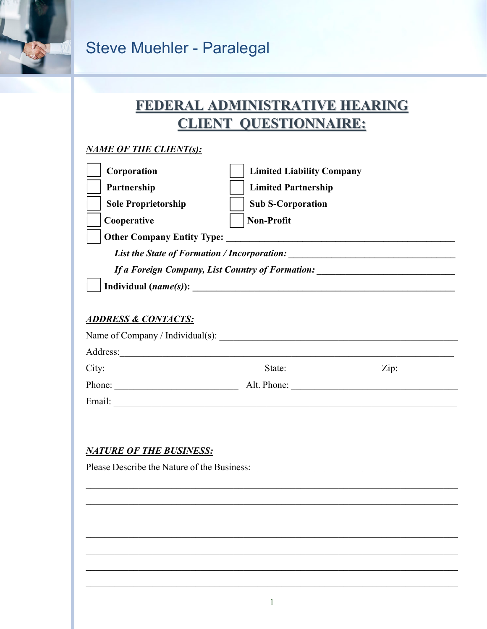

### FEDERAL ADMINISTRATIVE HEARING **CLIENT QUESTIONNAIRE:**

#### **NAME OF THE CLIENT(s):**

| Corporation                                      | <b>Limited Liability Company</b> |
|--------------------------------------------------|----------------------------------|
| Partnership                                      | <b>Limited Partnership</b>       |
| <b>Sole Proprietorship</b>                       | <b>Sub S-Corporation</b>         |
| Cooperative                                      | <b>Non-Profit</b>                |
| <b>Other Company Entity Type:</b>                |                                  |
| List the State of Formation / Incorporation:     |                                  |
| If a Foreign Company, List Country of Formation: |                                  |
|                                                  |                                  |
|                                                  |                                  |
| <b>ADDRESS &amp; CONTACTS:</b>                   |                                  |
| Name of Company / Individual(s):                 |                                  |

| City:  | State:      | Zip: |
|--------|-------------|------|
| Phone: | Alt. Phone: |      |
| Email: |             |      |

#### **NATURE OF THE BUSINESS:**

Address:

Please Describe the Nature of the Business: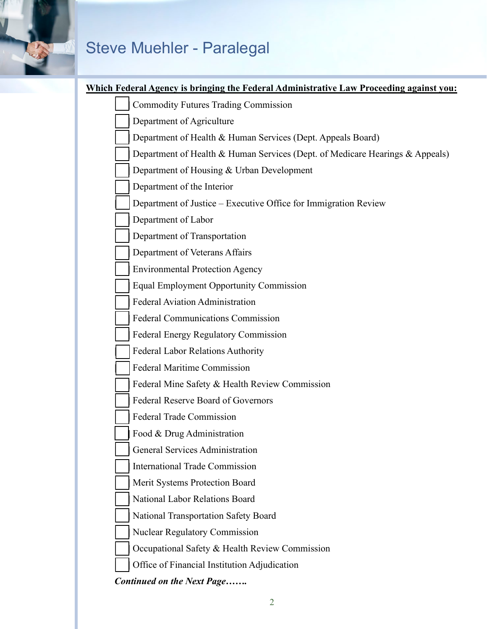#### **Which Federal Agency is bringing the Federal Administrative Law Proceeding against you:**

| <b>Commodity Futures Trading Commission</b>                                  |
|------------------------------------------------------------------------------|
| Department of Agriculture                                                    |
| Department of Health & Human Services (Dept. Appeals Board)                  |
| Department of Health & Human Services (Dept. of Medicare Hearings & Appeals) |
| Department of Housing & Urban Development                                    |
| Department of the Interior                                                   |
| Department of Justice – Executive Office for Immigration Review              |
| Department of Labor                                                          |
| Department of Transportation                                                 |
| Department of Veterans Affairs                                               |
| <b>Environmental Protection Agency</b>                                       |
| <b>Equal Employment Opportunity Commission</b>                               |
| <b>Federal Aviation Administration</b>                                       |
| <b>Federal Communications Commission</b>                                     |
| <b>Federal Energy Regulatory Commission</b>                                  |
| <b>Federal Labor Relations Authority</b>                                     |
| <b>Federal Maritime Commission</b>                                           |
| Federal Mine Safety & Health Review Commission                               |
| <b>Federal Reserve Board of Governors</b>                                    |
| <b>Federal Trade Commission</b>                                              |
| Food & Drug Administration                                                   |
| General Services Administration                                              |
| <b>International Trade Commission</b>                                        |
| Merit Systems Protection Board                                               |
| National Labor Relations Board                                               |
| National Transportation Safety Board                                         |
| <b>Nuclear Regulatory Commission</b>                                         |
| Occupational Safety & Health Review Commission                               |
| Office of Financial Institution Adjudication                                 |
| <b>Continued on the Next Page</b>                                            |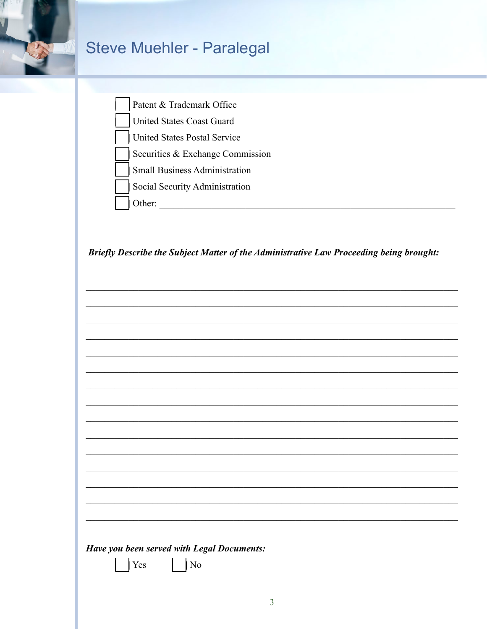

| Patent & Trademark Office            |
|--------------------------------------|
| United States Coast Guard            |
| United States Postal Service         |
| Securities & Exchange Commission     |
| <b>Small Business Administration</b> |
| Social Security Administration       |
| ther:                                |

Briefly Describe the Subject Matter of the Administrative Law Proceeding being brought:

| Have you been served with Legal Documents: |                        |  |  |
|--------------------------------------------|------------------------|--|--|
| Yes                                        | $\overline{\text{No}}$ |  |  |
|                                            |                        |  |  |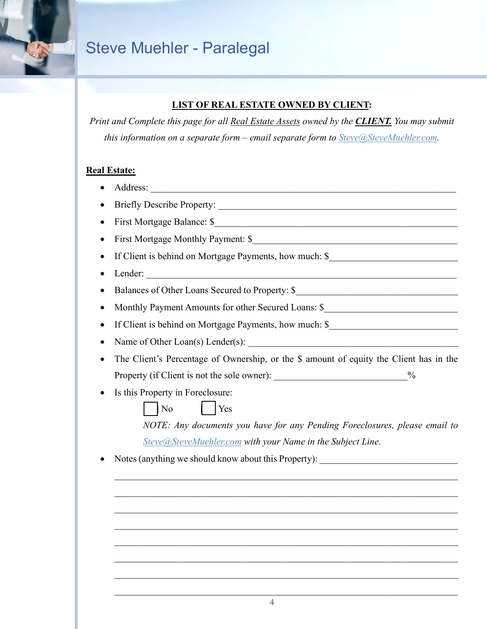

#### **LIST OF REAL ESTATE OWNED BY CLIENT:**

*Print and Complete this page for all Real Estate Assets owned by the CLIENT. You may submit this information on a separate form – email separate form to [Steve@SteveMuehler.com.](mailto:Steve@SteveMuehler.com)* 

#### **Real Estate:**

- Address:  $\blacksquare$
- Briefly Describe Property:
- First Mortgage Balance: \$
- First Mortgage Monthly Payment: \$
- If Client is behind on Mortgage Payments, how much: \$
- Lender:  $\blacksquare$
- Balances of Other Loans Secured to Property: \$\_\_\_\_\_\_\_\_\_\_\_\_\_\_\_\_\_\_\_\_\_\_\_\_\_\_\_\_\_\_\_\_
- Monthly Payment Amounts for other Secured Loans: \$
- If Client is behind on Mortgage Payments, how much: \$
- Name of Other Loan(s) Lender(s):
- The Client's Percentage of Ownership, or the \$ amount of equity the Client has in the Property (if Client is not the sole owner): \_\_\_\_\_\_\_\_\_\_\_\_\_\_\_\_\_\_\_\_\_\_\_\_\_\_\_\_\_\_%
- Is this Property in Foreclosure:

*NOTE: Any documents you have for any Pending Foreclosures, please email to [Steve@SteveMuehler.com](mailto:Steve@SteveMuehler.com) with your Name in the Subject Line.* 

 $\mathcal{L}_\text{G}$  , and the contribution of the contribution of the contribution of the contribution of the contribution of the contribution of the contribution of the contribution of the contribution of the contribution of t

 $\mathcal{L}_\text{G}$  , and the contribution of the contribution of the contribution of the contribution of the contribution of the contribution of the contribution of the contribution of the contribution of the contribution of t

 $\mathcal{L}_\text{G}$  , and the contribution of the contribution of the contribution of the contribution of the contribution of the contribution of the contribution of the contribution of the contribution of the contribution of t

 $\mathcal{L}_\text{G}$  , and the contribution of the contribution of the contribution of the contribution of the contribution of the contribution of the contribution of the contribution of the contribution of the contribution of t

 $\mathcal{L}_\text{G}$  , and the contribution of the contribution of the contribution of the contribution of the contribution of the contribution of the contribution of the contribution of the contribution of the contribution of t

 $\mathcal{L}_\text{G}$  , and the contribution of the contribution of the contribution of the contribution of the contribution of the contribution of the contribution of the contribution of the contribution of the contribution of t

Notes (anything we should know about this Property): \_\_\_\_\_\_\_\_\_\_\_\_\_\_\_\_\_\_\_\_\_\_\_\_\_\_\_

[\_\_] No [\_\_] Yes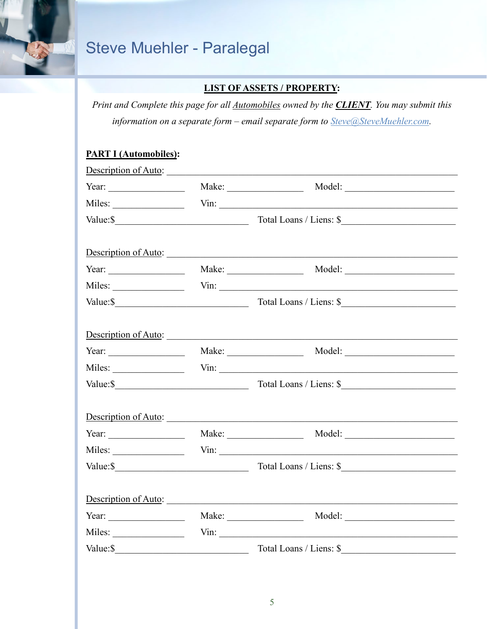

#### **LIST OF ASSETS / PROPERTY:**

Print and Complete this page for all **Automobiles** owned by the **CLIENT**. You may submit this information on a separate form - email separate form to Steve@SteveMuehler.com.

#### **PART I (Automobiles):**

| Description of Auto:  |                                 |
|-----------------------|---------------------------------|
|                       | Year: Make: Make: Model: Model: |
|                       | Miles: Vin: Vin:                |
|                       |                                 |
|                       | Description of Auto:            |
|                       | Year: Make: Make: Model: Model: |
|                       |                                 |
|                       |                                 |
|                       | Description of Auto:            |
|                       |                                 |
|                       |                                 |
|                       |                                 |
|                       | Description of Auto:            |
|                       | Year: Make: Make: Model: Model: |
|                       |                                 |
|                       |                                 |
|                       | Description of Auto:            |
| Year: $\qquad \qquad$ |                                 |
|                       |                                 |
|                       |                                 |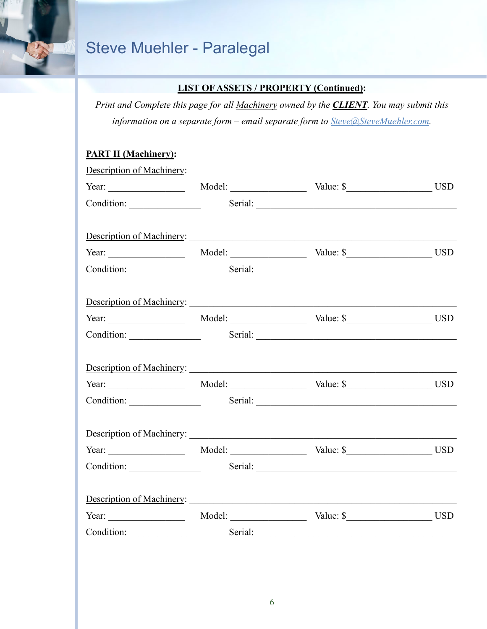

#### **LIST OF ASSETS / PROPERTY (Continued):**

*Print and Complete this page for all Machinery owned by the CLIENT. You may submit this information on a separate form – email separate form to [Steve@SteveMuehler.com.](mailto:Steve@SteveMuehler.com)*

#### **PART II (Machinery):**

|                                                               | Condition: Serial: Serial: |  |
|---------------------------------------------------------------|----------------------------|--|
| Description of Machinery: New York Charles and Section 1989.  |                            |  |
|                                                               |                            |  |
|                                                               |                            |  |
|                                                               |                            |  |
|                                                               |                            |  |
|                                                               | Condition: Serial: Serial: |  |
| Description of Machinery:<br><u>Description of Machinery:</u> |                            |  |
|                                                               |                            |  |
|                                                               | Condition: Serial: Serial: |  |
|                                                               |                            |  |
| Year: $\frac{1}{2}$                                           | Model: Value: \$           |  |
| Condition: Serial: Serial:                                    |                            |  |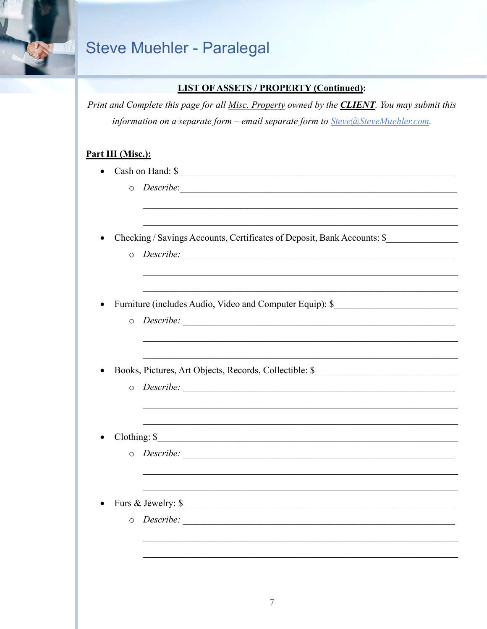#### **LIST OF ASSETS / PROPERTY (Continued):**

Print and Complete this page for all Misc. Property owned by the **CLIENT**. You may submit this information on a separate form – email separate form to Steve@SteveMuehler.com.

#### Part III (Misc.):

- Cash on Hand:  $\frac{1}{2}$ 
	- o Describe:
- Checking / Savings Accounts, Certificates of Deposit, Bank Accounts: \$  $\bullet$ 
	-
- Furniture (includes Audio, Video and Computer Equip): \$  $\bullet$ 
	-
- Books, Pictures, Art Objects, Records, Collectible: \$\_\_\_\_\_\_\_\_\_\_\_\_\_\_\_\_\_\_\_\_\_\_\_\_\_\_\_  $\bullet$ 
	-
- Clothing: \$
	-
- Furs & Jewelry: \$  $\bullet$ 
	-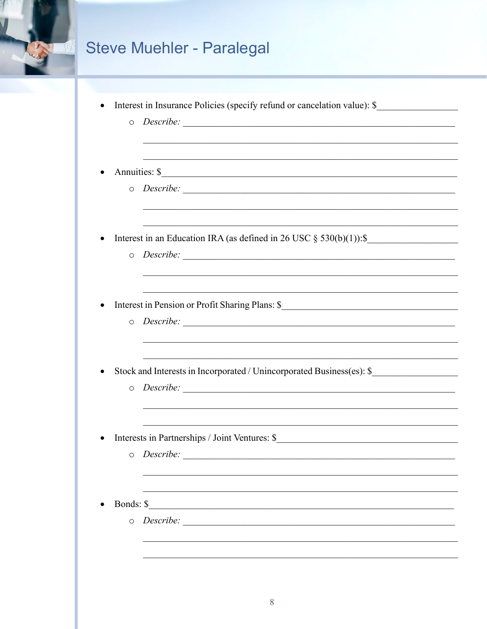

|  |  |  |  |  |  | Interest in Insurance Policies (specify refund or cancelation value): \$ |  |
|--|--|--|--|--|--|--------------------------------------------------------------------------|--|
|--|--|--|--|--|--|--------------------------------------------------------------------------|--|

o Describe:

 $\bullet$ 

- o Describe:
- Interest in an Education IRA (as defined in 26 USC  $\S$  530(b)(1)):  $\S$  $\bullet$ 
	- o Describe:
- Interest in Pension or Profit Sharing Plans: \$  $\bullet$ 
	- o Describe:
- Stock and Interests in Incorporated / Unincorporated Business(es): \$  $\bullet$ 
	- o Describe:
- Interests in Partnerships / Joint Ventures: \$  $\bullet$ 
	-
- Bonds: \$  $\bullet$ 
	-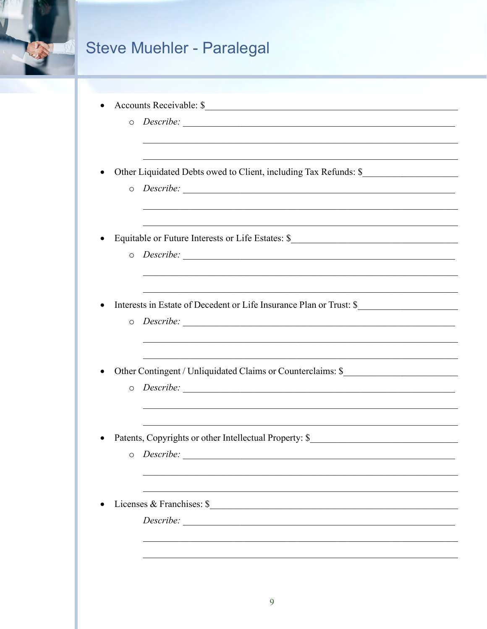

| Accounts Receivable: \$ |  |
|-------------------------|--|
|                         |  |

o Describe:

Other Liquidated Debts owed to Client, including Tax Refunds: \$  $\bullet$ 

- o Describe:
- Equitable or Future Interests or Life Estates: \$\_\_\_\_\_\_\_\_\_\_\_\_\_\_\_\_\_\_\_\_\_\_\_\_\_\_\_\_\_\_\_\_  $\bullet$ 
	-
- Interests in Estate of Decedent or Life Insurance Plan or Trust: \$
	- o Describe:
- Other Contingent / Unliquidated Claims or Counterclaims: \$
	-
- Patents, Copyrights or other Intellectual Property: \$  $\bullet$ 
	-
- Licenses & Franchises: \$  $\bullet$

<u> 1989 - Jan Barbara de Santo III e a contra la contrada de la contrada de la contrada de la contrada de la co</u>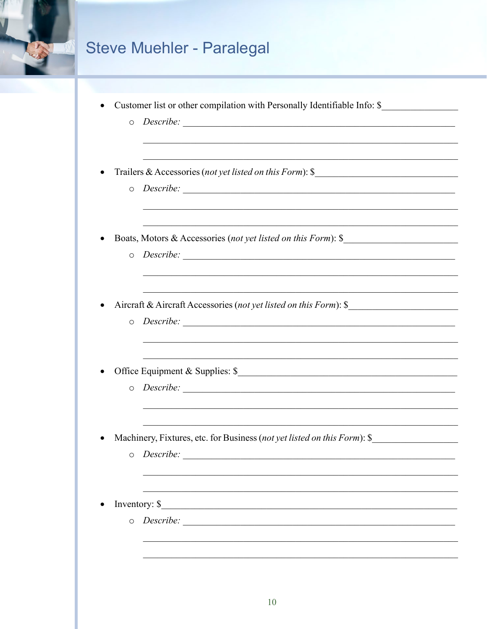

|  |  |  |  |  | Customer list or other compilation with Personally Identifiable Info: \$ |
|--|--|--|--|--|--------------------------------------------------------------------------|
|--|--|--|--|--|--------------------------------------------------------------------------|

- o Describe:
- Trailers & Accessories (not yet listed on this Form): \$  $\bullet$ 
	- o Describe:
- Boats, Motors & Accessories (not yet listed on this Form): \$  $\bullet$ 
	-
- Aircraft & Aircraft Accessories (not yet listed on this Form): \$  $\bullet$ 
	- o Describe:
- - $\circ$  Describe:
- Machinery, Fixtures, etc. for Business (not yet listed on this Form): \$  $\bullet$ 
	-
- Inventory: \$  $\bullet$ 
	- o Describe: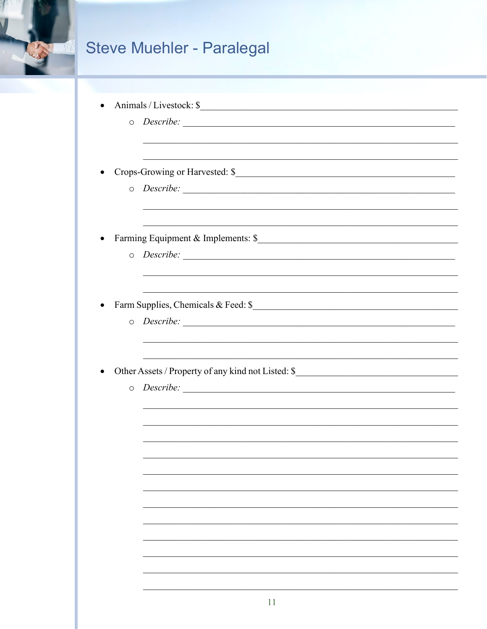

|         | Animals / Livestock: \$             |
|---------|-------------------------------------|
|         |                                     |
|         |                                     |
|         | Crops-Growing or Harvested: \$      |
| $\circ$ |                                     |
|         | Farming Equipment & Implements: \$  |
| $\circ$ |                                     |
|         | Farm Supplies, Chemicals & Feed: \$ |
| $\circ$ |                                     |
|         |                                     |
| $\circ$ |                                     |
|         |                                     |
|         |                                     |
|         |                                     |
|         |                                     |
|         |                                     |
|         |                                     |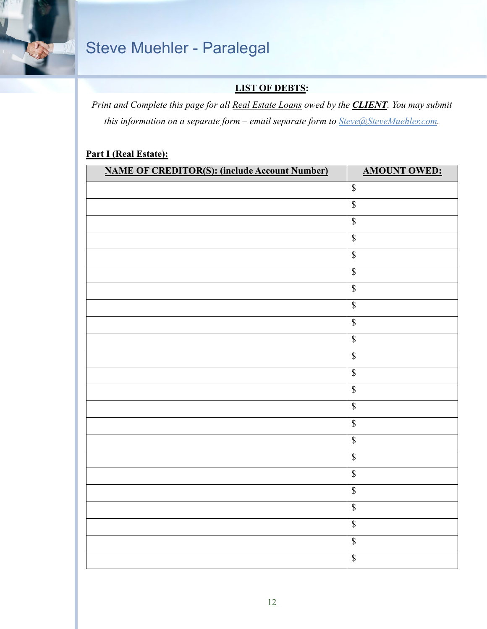

#### **LIST OF DEBTS:**

*Print and Complete this page for all Real Estate Loans owed by the CLIENT. You may submit this information on a separate form – email separate form to [Steve@SteveMuehler.com.](mailto:Steve@SteveMuehler.com)*

#### **Part I (Real Estate):**

| <b>NAME OF CREDITOR(S): (include Account Number)</b> | <b>AMOUNT OWED:</b>      |
|------------------------------------------------------|--------------------------|
|                                                      | $\mathbb S$              |
|                                                      | $\overline{\mathcal{S}}$ |
|                                                      | $\mathbb S$              |
|                                                      | $\overline{\mathbb{S}}$  |
|                                                      | $\overline{\mathbb{S}}$  |
|                                                      | $\overline{\mathbb{S}}$  |
|                                                      | $\mathbb S$              |
|                                                      | $\overline{\mathcal{S}}$ |
|                                                      | $\overline{\mathbb{S}}$  |
|                                                      | $\overline{\mathcal{S}}$ |
|                                                      | $\mathbb S$              |
|                                                      | $\overline{\$}$          |
|                                                      | $\overline{\mathcal{S}}$ |
|                                                      | $\overline{\mathbb{S}}$  |
|                                                      | $\overline{\mathcal{S}}$ |
|                                                      | $\mathbb S$              |
|                                                      | $\overline{\mathcal{S}}$ |
|                                                      | $\mathbb S$              |
|                                                      | $\mathbb S$              |
|                                                      | $\mathbb S$              |
|                                                      | $\overline{\mathbb{S}}$  |
|                                                      | $\overline{\mathcal{S}}$ |
|                                                      | $\overline{\mathbb{S}}$  |
|                                                      |                          |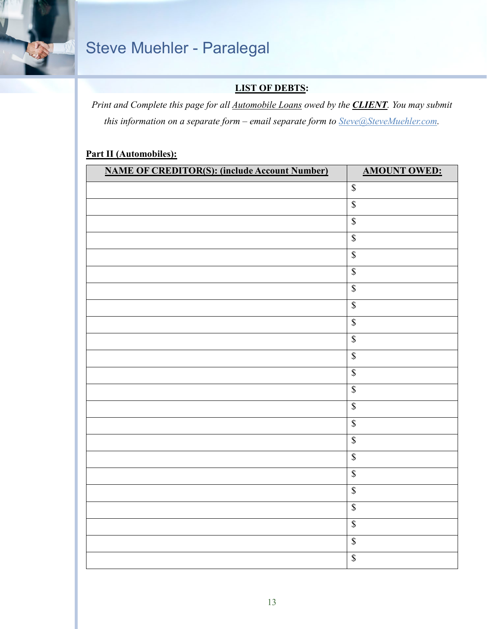

#### **LIST OF DEBTS:**

*Print and Complete this page for all Automobile Loans owed by the CLIENT. You may submit this information on a separate form – email separate form to [Steve@SteveMuehler.com.](mailto:Steve@SteveMuehler.com)*

#### **Part II (Automobiles):**

| <b>NAME OF CREDITOR(S): (include Account Number)</b> | <b>AMOUNT OWED:</b>      |
|------------------------------------------------------|--------------------------|
|                                                      | $\mathbb S$              |
|                                                      | $\overline{\mathcal{S}}$ |
|                                                      | $\mathbb S$              |
|                                                      | $\overline{\mathbb{S}}$  |
|                                                      | $\overline{\mathbb{S}}$  |
|                                                      | $\overline{\mathbb{S}}$  |
|                                                      | $\sqrt{\frac{2}{n}}$     |
|                                                      | $\overline{\mathcal{S}}$ |
|                                                      | $\sqrt{\frac{2}{n}}$     |
|                                                      | $\sqrt{\ }$              |
|                                                      | $\mathbb S$              |
|                                                      | $\overline{\$}$          |
|                                                      | $\overline{\mathbb{S}}$  |
|                                                      | $\overline{\mathbb{S}}$  |
|                                                      | $\overline{\$}$          |
|                                                      | $\overline{\mathbb{S}}$  |
|                                                      | $\overline{\mathcal{S}}$ |
|                                                      | $\mathbb S$              |
|                                                      | $\sqrt{\frac{2}{n}}$     |
|                                                      | $\mathbb S$              |
|                                                      | $\overline{\mathcal{S}}$ |
|                                                      | $\overline{\mathcal{S}}$ |
|                                                      | $\overline{\mathbb{S}}$  |
|                                                      |                          |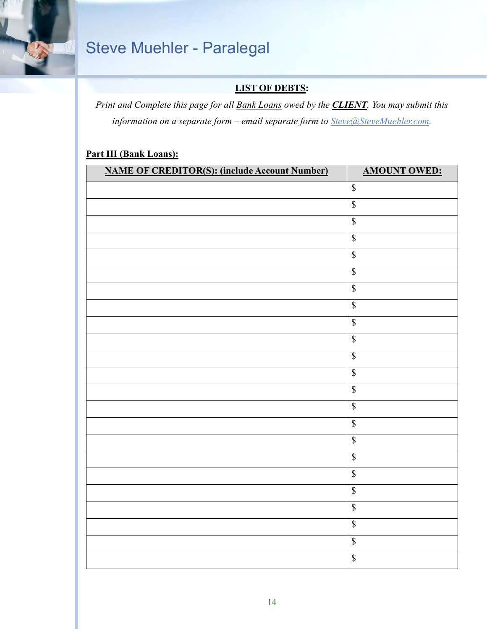

#### **LIST OF DEBTS:**

*Print and Complete this page for all Bank Loans owed by the CLIENT. You may submit this information on a separate form – email separate form to [Steve@SteveMuehler.com.](mailto:Steve@SteveMuehler.com)*

#### **Part III (Bank Loans):**

| <b>NAME OF CREDITOR(S): (include Account Number)</b> | <b>AMOUNT OWED:</b>                         |
|------------------------------------------------------|---------------------------------------------|
|                                                      | $\mathbb S$                                 |
|                                                      | $\overline{\mathcal{S}}$                    |
|                                                      | $\mathbb S$                                 |
|                                                      | $\overline{\mathcal{S}}$                    |
|                                                      | $\overline{\mathbb{S}}$                     |
|                                                      | $\overline{\mathcal{S}}$                    |
|                                                      | $\mathbb S$                                 |
|                                                      | $\overline{\mathcal{S}}$                    |
|                                                      | $\mathbb S$                                 |
|                                                      | $\mathbb S$                                 |
|                                                      | $\mathbb S$                                 |
|                                                      | $\overline{\mathcal{S}}$                    |
|                                                      | $\mathbb S$                                 |
|                                                      | $\overline{\mathcal{S}}$                    |
|                                                      | $\overline{\mathcal{S}}$                    |
|                                                      | $\mathbb S$                                 |
|                                                      | $\overline{\mathcal{S}}$                    |
|                                                      | $\mathbb S$                                 |
|                                                      | $\mathbb{S}% _{n}^{X\rightarrow\mathbb{R}}$ |
|                                                      | $\overline{\mathcal{S}}$                    |
|                                                      | $\overline{\mathcal{S}}$                    |
|                                                      | $\overline{\mathcal{S}}$                    |
|                                                      | $\overline{\mathcal{S}}$                    |
|                                                      |                                             |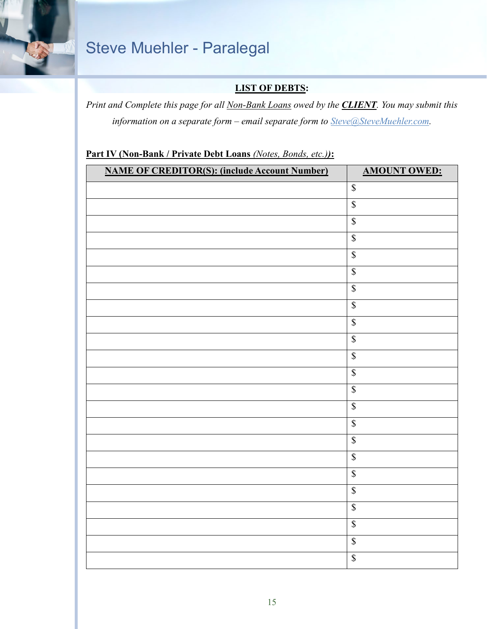

#### **LIST OF DEBTS:**

*Print and Complete this page for all Non-Bank Loans owed by the CLIENT. You may submit this information on a separate form – email separate form to [Steve@SteveMuehler.com.](mailto:Steve@SteveMuehler.com)*

#### **Part IV (Non-Bank / Private Debt Loans** *(Notes, Bonds, etc.))***:**

| <b>NAME OF CREDITOR(S): (include Account Number)</b> | <b>AMOUNT OWED:</b>      |
|------------------------------------------------------|--------------------------|
|                                                      | $\mathbb{S}$             |
|                                                      | $\overline{\mathcal{S}}$ |
|                                                      | $\overline{\mathcal{S}}$ |
|                                                      | $\overline{\mathcal{S}}$ |
|                                                      | $\overline{\mathbb{S}}$  |
|                                                      | $\sqrt{\frac{1}{2}}$     |
|                                                      | $\mathbb S$              |
|                                                      | $\mathbb{S}$             |
|                                                      | $\overline{\mathcal{S}}$ |
|                                                      | $\overline{\mathcal{S}}$ |
|                                                      | $\mathbb S$              |
|                                                      | $\overline{\mathcal{S}}$ |
|                                                      | $\overline{\mathcal{S}}$ |
|                                                      | $\overline{\mathcal{S}}$ |
|                                                      | $\overline{\mathcal{S}}$ |
|                                                      | $\overline{\mathcal{S}}$ |
|                                                      | $\overline{\mathcal{S}}$ |
|                                                      | $\overline{\mathbb{S}}$  |
|                                                      | $\sqrt{\ }$              |
|                                                      | $\mathbb S$              |
|                                                      | $\overline{\mathcal{S}}$ |
|                                                      | $\overline{\mathcal{S}}$ |
|                                                      | $\overline{\mathcal{S}}$ |
|                                                      |                          |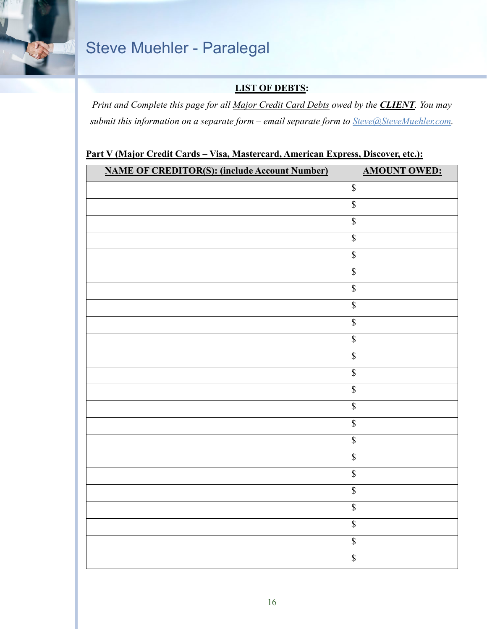

#### **LIST OF DEBTS:**

*Print and Complete this page for all Major Credit Card Debts owed by the CLIENT. You may submit this information on a separate form – email separate form to [Steve@SteveMuehler.com.](mailto:Steve@SteveMuehler.com)*

#### **Part V (Major Credit Cards – Visa, Mastercard, American Express, Discover, etc.):**

| <b>NAME OF CREDITOR(S): (include Account Number)</b> | <b>AMOUNT OWED:</b>       |
|------------------------------------------------------|---------------------------|
|                                                      | $\overline{\mathcal{S}}$  |
|                                                      | $\overline{\mathbb{S}}$   |
|                                                      | $\sqrt{\frac{1}{2}}$      |
|                                                      | $\overline{\mathcal{S}}$  |
|                                                      | $\mathbb S$               |
|                                                      | $\overline{\mathbb{S}}$   |
|                                                      | $\mathbb S$               |
|                                                      | $\sqrt{\frac{1}{2}}$      |
|                                                      | $\mathbb S$               |
|                                                      | $\overline{\mathcal{S}}$  |
|                                                      | $\boldsymbol{\mathbb{S}}$ |
|                                                      | $\overline{\mathbb{S}}$   |
|                                                      | $\boldsymbol{\mathbb{S}}$ |
|                                                      | $\overline{\mathcal{S}}$  |
|                                                      | $\overline{\mathcal{S}}$  |
|                                                      | $\overline{\mathcal{S}}$  |
|                                                      | $\sqrt{\frac{1}{2}}$      |
|                                                      | $\mathbb S$               |
|                                                      | $\overline{\mathbb{S}}$   |
|                                                      | $\overline{\mathbb{S}}$   |
|                                                      | $\sqrt{\frac{1}{2}}$      |
|                                                      | $\mathbb S$               |
|                                                      | $\overline{\mathcal{S}}$  |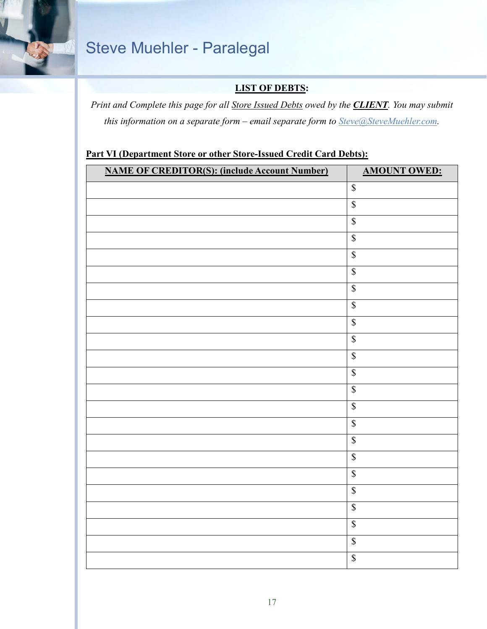

#### **LIST OF DEBTS:**

*Print and Complete this page for all Store Issued Debts owed by the CLIENT. You may submit this information on a separate form – email separate form to [Steve@SteveMuehler.com.](mailto:Steve@SteveMuehler.com)*

#### **Part VI (Department Store or other Store-Issued Credit Card Debts):**

| <b>NAME OF CREDITOR(S): (include Account Number)</b> | <b>AMOUNT OWED:</b>      |
|------------------------------------------------------|--------------------------|
|                                                      | $\overline{\mathcal{S}}$ |
|                                                      | $\overline{\mathcal{S}}$ |
|                                                      | $\overline{\mathbb{S}}$  |
|                                                      | $\overline{\mathcal{S}}$ |
|                                                      | $\mathbb S$              |
|                                                      | $\overline{\mathcal{S}}$ |
|                                                      | $\mathbb S$              |
|                                                      | $\overline{\mathcal{S}}$ |
|                                                      | $\mathbb S$              |
|                                                      | $\overline{\mathcal{S}}$ |
|                                                      | $\overline{\mathcal{S}}$ |
|                                                      | $\overline{\mathcal{S}}$ |
|                                                      | $\overline{\mathcal{S}}$ |
|                                                      | $\overline{\mathcal{S}}$ |
|                                                      | $\overline{\mathcal{S}}$ |
|                                                      | $\overline{\mathbb{S}}$  |
|                                                      | $\overline{\mathcal{S}}$ |
|                                                      | $\mathbb S$              |
|                                                      | $\overline{\mathcal{S}}$ |
|                                                      | $\overline{\mathcal{S}}$ |
|                                                      | $\overline{\mathcal{S}}$ |
|                                                      | $\mathbb S$              |
|                                                      | $\overline{\mathcal{S}}$ |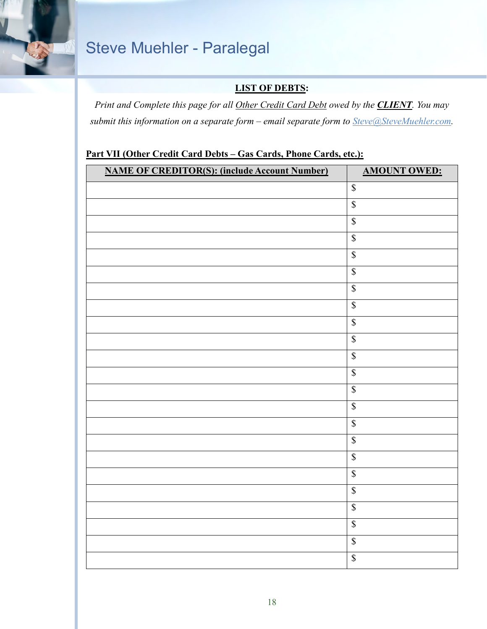

#### **LIST OF DEBTS:**

*Print and Complete this page for all Other Credit Card Debt owed by the CLIENT. You may submit this information on a separate form – email separate form to [Steve@SteveMuehler.com.](mailto:Steve@SteveMuehler.com)*

#### **Part VII (Other Credit Card Debts – Gas Cards, Phone Cards, etc.):**

| $\overline{\mathcal{S}}$<br>$\overline{\mathbb{S}}$<br>$\overline{\mathbb{S}}$<br>$\overline{\mathcal{S}}$<br>$\mathbb S$<br>$\overline{\mathcal{S}}$<br>$\mathbb S$<br>$\sqrt{\frac{1}{2}}$<br>$\mathbb S$<br>$\overline{\mathcal{S}}$<br>$\mathbb S$<br>$\overline{\mathcal{S}}$<br>$\mathbb S$<br>$\overline{\mathcal{S}}$<br>$\overline{\mathcal{S}}$<br>$\mathbb S$<br>$\sqrt{\ }$ | <b>NAME OF CREDITOR(S): (include Account Number)</b> | <b>AMOUNT OWED:</b> |
|-----------------------------------------------------------------------------------------------------------------------------------------------------------------------------------------------------------------------------------------------------------------------------------------------------------------------------------------------------------------------------------------|------------------------------------------------------|---------------------|
|                                                                                                                                                                                                                                                                                                                                                                                         |                                                      |                     |
|                                                                                                                                                                                                                                                                                                                                                                                         |                                                      |                     |
|                                                                                                                                                                                                                                                                                                                                                                                         |                                                      |                     |
|                                                                                                                                                                                                                                                                                                                                                                                         |                                                      |                     |
|                                                                                                                                                                                                                                                                                                                                                                                         |                                                      |                     |
|                                                                                                                                                                                                                                                                                                                                                                                         |                                                      |                     |
|                                                                                                                                                                                                                                                                                                                                                                                         |                                                      |                     |
|                                                                                                                                                                                                                                                                                                                                                                                         |                                                      |                     |
|                                                                                                                                                                                                                                                                                                                                                                                         |                                                      |                     |
|                                                                                                                                                                                                                                                                                                                                                                                         |                                                      |                     |
|                                                                                                                                                                                                                                                                                                                                                                                         |                                                      |                     |
|                                                                                                                                                                                                                                                                                                                                                                                         |                                                      |                     |
|                                                                                                                                                                                                                                                                                                                                                                                         |                                                      |                     |
|                                                                                                                                                                                                                                                                                                                                                                                         |                                                      |                     |
|                                                                                                                                                                                                                                                                                                                                                                                         |                                                      |                     |
|                                                                                                                                                                                                                                                                                                                                                                                         |                                                      |                     |
|                                                                                                                                                                                                                                                                                                                                                                                         |                                                      |                     |
|                                                                                                                                                                                                                                                                                                                                                                                         |                                                      | $\mathbb S$         |
| $\overline{\mathbb{S}}$                                                                                                                                                                                                                                                                                                                                                                 |                                                      |                     |
| $\mathbb S$                                                                                                                                                                                                                                                                                                                                                                             |                                                      |                     |
| $\sqrt{\frac{1}{2}}$                                                                                                                                                                                                                                                                                                                                                                    |                                                      |                     |
| $\mathbb S$                                                                                                                                                                                                                                                                                                                                                                             |                                                      |                     |
| $\overline{\mathcal{S}}$                                                                                                                                                                                                                                                                                                                                                                |                                                      |                     |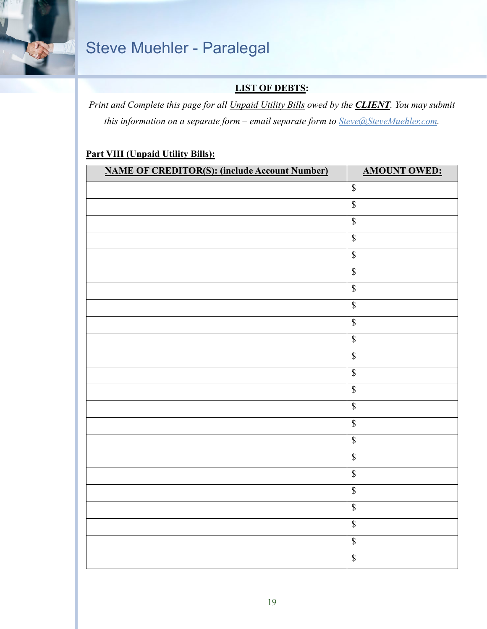

#### **LIST OF DEBTS:**

*Print and Complete this page for all Unpaid Utility Bills owed by the CLIENT. You may submit this information on a separate form – email separate form to [Steve@SteveMuehler.com.](mailto:Steve@SteveMuehler.com)*

#### **Part VIII (Unpaid Utility Bills):**

| <b>NAME OF CREDITOR(S): (include Account Number)</b> | <b>AMOUNT OWED:</b>      |
|------------------------------------------------------|--------------------------|
|                                                      | $\mathbb S$              |
|                                                      | $\overline{\mathcal{S}}$ |
|                                                      | $\overline{\mathbb{S}}$  |
|                                                      | $\overline{\mathbb{S}}$  |
|                                                      | $\overline{\mathbb{S}}$  |
|                                                      | $\overline{\mathbb{S}}$  |
|                                                      | $\sqrt{\frac{2}{n}}$     |
|                                                      | $\overline{\mathcal{S}}$ |
|                                                      | $\mathbb S$              |
|                                                      | $\sqrt{\frac{2}{n}}$     |
|                                                      | $\mathbb S$              |
|                                                      | $\overline{\$}$          |
|                                                      | $\overline{\mathbb{S}}$  |
|                                                      | $\overline{\mathbb{S}}$  |
|                                                      | $\overline{\$}$          |
|                                                      | $\overline{\mathbb{S}}$  |
|                                                      | $\overline{\mathcal{S}}$ |
|                                                      | $\sqrt{\frac{2}{3}}$     |
|                                                      | $\overline{\mathbb{S}}$  |
|                                                      | $\mathbb S$              |
|                                                      | $\overline{\mathcal{S}}$ |
|                                                      | $\mathbb S$              |
|                                                      | $\overline{\mathbb{S}}$  |
|                                                      |                          |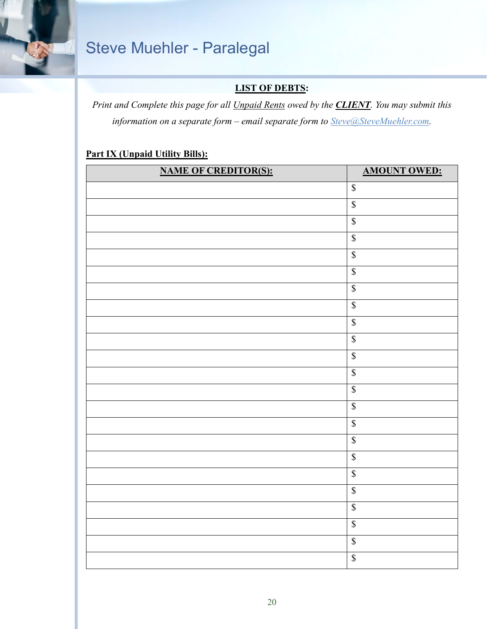

#### **LIST OF DEBTS:**

*Print and Complete this page for all Unpaid Rents owed by the CLIENT. You may submit this information on a separate form – email separate form to [Steve@SteveMuehler.com.](mailto:Steve@SteveMuehler.com)*

#### **Part IX (Unpaid Utility Bills):**

| $\mathbb S$<br>$\overline{\mathcal{S}}$<br>$\overline{\mathcal{S}}$<br>$\overline{\mathcal{S}}$<br>$\overline{\mathbb{S}}$<br>$\overline{\mathbb{S}}$<br>$\sqrt{\frac{1}{2}}$<br>$\overline{\$}$<br>$\mathbb S$<br>$\overline{\mathcal{S}}$<br>$\overline{\mathcal{S}}$<br>$\overline{\mathcal{S}}$<br>$\overline{\mathcal{S}}$<br>$\overline{\$}$<br>$\overline{\mathbb{S}}$<br>$\sqrt{\frac{1}{2}}$<br>$\sqrt{\frac{1}{2}}$<br>$\sqrt{\frac{2}{3}}$<br>$\overline{\mathcal{S}}$<br>$\mathbb S$<br>$\overline{\mathcal{S}}$<br>$\overline{\mathcal{S}}$<br>$\overline{\mathbb{S}}$ | <b>NAME OF CREDITOR(S):</b> | <b>AMOUNT OWED:</b> |
|-------------------------------------------------------------------------------------------------------------------------------------------------------------------------------------------------------------------------------------------------------------------------------------------------------------------------------------------------------------------------------------------------------------------------------------------------------------------------------------------------------------------------------------------------------------------------------------|-----------------------------|---------------------|
|                                                                                                                                                                                                                                                                                                                                                                                                                                                                                                                                                                                     |                             |                     |
|                                                                                                                                                                                                                                                                                                                                                                                                                                                                                                                                                                                     |                             |                     |
|                                                                                                                                                                                                                                                                                                                                                                                                                                                                                                                                                                                     |                             |                     |
|                                                                                                                                                                                                                                                                                                                                                                                                                                                                                                                                                                                     |                             |                     |
|                                                                                                                                                                                                                                                                                                                                                                                                                                                                                                                                                                                     |                             |                     |
|                                                                                                                                                                                                                                                                                                                                                                                                                                                                                                                                                                                     |                             |                     |
|                                                                                                                                                                                                                                                                                                                                                                                                                                                                                                                                                                                     |                             |                     |
|                                                                                                                                                                                                                                                                                                                                                                                                                                                                                                                                                                                     |                             |                     |
|                                                                                                                                                                                                                                                                                                                                                                                                                                                                                                                                                                                     |                             |                     |
|                                                                                                                                                                                                                                                                                                                                                                                                                                                                                                                                                                                     |                             |                     |
|                                                                                                                                                                                                                                                                                                                                                                                                                                                                                                                                                                                     |                             |                     |
|                                                                                                                                                                                                                                                                                                                                                                                                                                                                                                                                                                                     |                             |                     |
|                                                                                                                                                                                                                                                                                                                                                                                                                                                                                                                                                                                     |                             |                     |
|                                                                                                                                                                                                                                                                                                                                                                                                                                                                                                                                                                                     |                             |                     |
|                                                                                                                                                                                                                                                                                                                                                                                                                                                                                                                                                                                     |                             |                     |
|                                                                                                                                                                                                                                                                                                                                                                                                                                                                                                                                                                                     |                             |                     |
|                                                                                                                                                                                                                                                                                                                                                                                                                                                                                                                                                                                     |                             |                     |
|                                                                                                                                                                                                                                                                                                                                                                                                                                                                                                                                                                                     |                             |                     |
|                                                                                                                                                                                                                                                                                                                                                                                                                                                                                                                                                                                     |                             |                     |
|                                                                                                                                                                                                                                                                                                                                                                                                                                                                                                                                                                                     |                             |                     |
|                                                                                                                                                                                                                                                                                                                                                                                                                                                                                                                                                                                     |                             |                     |
|                                                                                                                                                                                                                                                                                                                                                                                                                                                                                                                                                                                     |                             |                     |
|                                                                                                                                                                                                                                                                                                                                                                                                                                                                                                                                                                                     |                             |                     |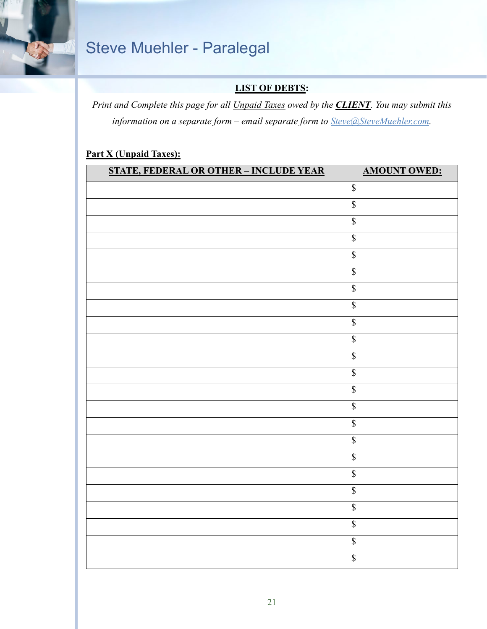

#### **LIST OF DEBTS:**

*Print and Complete this page for all Unpaid Taxes owed by the CLIENT. You may submit this information on a separate form – email separate form to [Steve@SteveMuehler.com.](mailto:Steve@SteveMuehler.com)*

#### **Part X (Unpaid Taxes):**

| <b>STATE, FEDERAL OR OTHER - INCLUDE YEAR</b> | <b>AMOUNT OWED:</b>      |
|-----------------------------------------------|--------------------------|
|                                               | $\mathbb{S}$             |
|                                               | $\boldsymbol{\$}$        |
|                                               | $\mathbb S$              |
|                                               | $\overline{\mathcal{S}}$ |
|                                               | $\sqrt{\frac{1}{2}}$     |
|                                               | $\overline{\mathbb{S}}$  |
|                                               | $\overline{\mathbb{S}}$  |
|                                               | $\overline{\mathbb{S}}$  |
|                                               | $\mathbb S$              |
|                                               | $\overline{\mathbb{S}}$  |
|                                               | $\mathbb S$              |
|                                               | $\overline{\mathbb{S}}$  |
|                                               | $\overline{\mathbb{S}}$  |
|                                               | $\overline{\mathbb{S}}$  |
|                                               | $\overline{\mathbb{S}}$  |
|                                               | $\overline{\mathbb{S}}$  |
|                                               | $\overline{\mathcal{S}}$ |
|                                               | $\mathbb S$              |
|                                               | $\overline{\mathcal{S}}$ |
|                                               | $\mathbb S$              |
|                                               | $\overline{\mathbb{S}}$  |
|                                               | $\overline{\mathbb{S}}$  |
|                                               | $\overline{\mathbb{S}}$  |
|                                               |                          |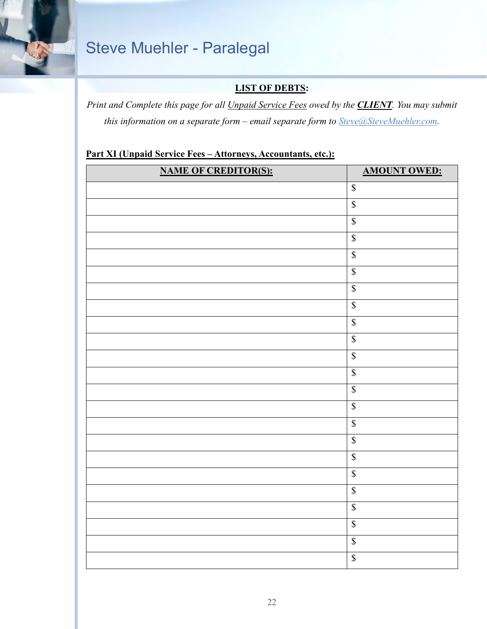

#### **LIST OF DEBTS:**

*Print and Complete this page for all Unpaid Service Fees owed by the CLIENT. You may submit this information on a separate form – email separate form to [Steve@SteveMuehler.com.](mailto:Steve@SteveMuehler.com)*

#### **Part XI (Unpaid Service Fees – Attorneys, Accountants, etc.):**

| <b>NAME OF CREDITOR(S):</b> | <b>AMOUNT OWED:</b>      |
|-----------------------------|--------------------------|
|                             | $\mathbb S$              |
|                             | $\overline{\mathbb{S}}$  |
|                             | $\sqrt{\frac{1}{2}}$     |
|                             | $\sqrt{\frac{2}{\pi}}$   |
|                             | $\overline{\mathbb{S}}$  |
|                             | $\sqrt{\frac{1}{2}}$     |
|                             | $\mathbb S$              |
|                             | $\sqrt{\frac{1}{2}}$     |
|                             | $\overline{\mathcal{S}}$ |
|                             | $\overline{\mathcal{S}}$ |
|                             | $\overline{\mathcal{S}}$ |
|                             | $\overline{\mathbb{S}}$  |
|                             | $\sqrt{\frac{1}{2}}$     |
|                             | $\sqrt{\frac{1}{2}}$     |
|                             | $\overline{\mathcal{S}}$ |
|                             | $\overline{\mathbb{S}}$  |
|                             | $\sqrt{\S}$              |
|                             | $\overline{\mathbb{S}}$  |
|                             | $\sqrt{\frac{1}{2}}$     |
|                             | $\overline{\mathbb{S}}$  |
|                             | $\sqrt{\ }$              |
|                             | $\mathbb S$              |
|                             | $\overline{\mathcal{S}}$ |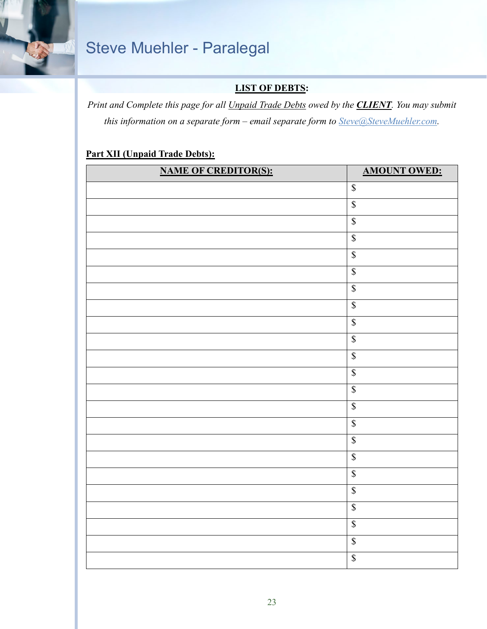

#### **LIST OF DEBTS:**

*Print and Complete this page for all Unpaid Trade Debts owed by the CLIENT. You may submit this information on a separate form – email separate form to [Steve@SteveMuehler.com.](mailto:Steve@SteveMuehler.com)*

#### **Part XII (Unpaid Trade Debts):**

| <b>NAME OF CREDITOR(S):</b> | <b>AMOUNT OWED:</b>      |
|-----------------------------|--------------------------|
|                             | $\mathbb{S}$             |
|                             | $\overline{\mathbb{S}}$  |
|                             | $\overline{\mathbb{S}}$  |
|                             | $\overline{\mathbb{S}}$  |
|                             | $\sqrt{\frac{1}{2}}$     |
|                             | $\overline{\mathbb{S}}$  |
|                             | $\overline{\mathcal{S}}$ |
|                             | $\overline{\mathbb{S}}$  |
|                             | $\mathbb S$              |
|                             | $\overline{\mathcal{S}}$ |
|                             | $\overline{\mathcal{S}}$ |
|                             | $\overline{\mathcal{S}}$ |
|                             | $\overline{\mathcal{S}}$ |
|                             | $\overline{\mathbb{S}}$  |
|                             | $\overline{\mathbb{S}}$  |
|                             | $\overline{\mathbb{S}}$  |
|                             | $\overline{\mathcal{S}}$ |
|                             | $\mathbb S$              |
|                             | $\overline{\mathcal{S}}$ |
|                             | $\mathbb S$              |
|                             | $\sqrt{\frac{1}{2}}$     |
|                             | $\overline{\mathcal{S}}$ |
|                             | $\overline{\mathbb{S}}$  |
|                             |                          |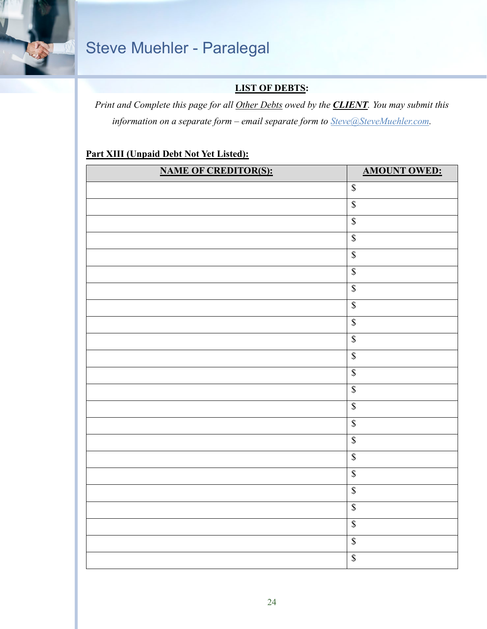

#### **LIST OF DEBTS:**

*Print and Complete this page for all Other Debts owed by the CLIENT. You may submit this information on a separate form – email separate form to [Steve@SteveMuehler.com.](mailto:Steve@SteveMuehler.com)* 

#### **Part XIII (Unpaid Debt Not Yet Listed):**

| <b>NAME OF CREDITOR(S):</b> | <b>AMOUNT OWED:</b>       |
|-----------------------------|---------------------------|
|                             | $\mathbb S$               |
|                             | $\overline{\mathcal{S}}$  |
|                             | $\sqrt{\frac{1}{2}}$      |
|                             | $\boldsymbol{\mathsf{S}}$ |
|                             | $\overline{\mathbb{S}}$   |
|                             | $\overline{\mathcal{S}}$  |
|                             | $\sqrt{\frac{2}{n}}$      |
|                             | $\sqrt{\frac{1}{2}}$      |
|                             | $\sqrt{\frac{2}{3}}$      |
|                             | $\sqrt{\frac{1}{2}}$      |
|                             | $\mathbb S$               |
|                             | $\overline{\mathcal{S}}$  |
|                             | $\overline{\mathbb{S}}$   |
|                             | $\overline{\mathbb{S}}$   |
|                             | $\boldsymbol{\mathsf{S}}$ |
|                             | $\sqrt{\frac{2}{n}}$      |
|                             | $\sqrt{\frac{1}{2}}$      |
|                             | $\sqrt{\frac{2}{n}}$      |
|                             | $\sqrt{\frac{1}{2}}$      |
|                             | $\overline{\mathcal{S}}$  |
|                             | $\sqrt{\frac{1}{2}}$      |
|                             | $\overline{\mathcal{S}}$  |
|                             | $\overline{\mathbb{S}}$   |
|                             |                           |